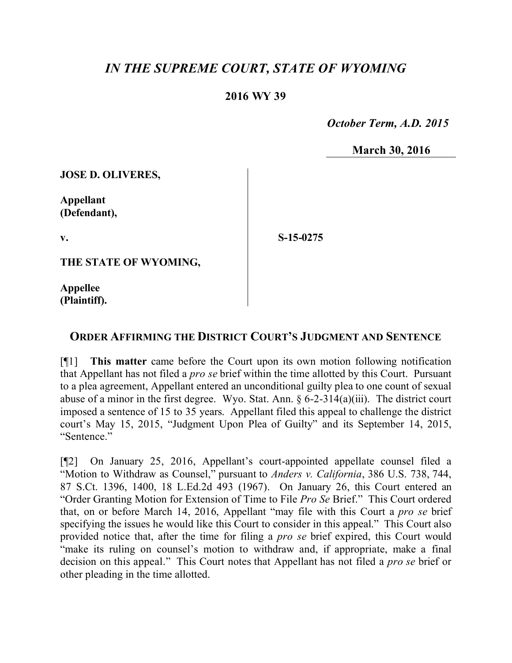## *IN THE SUPREME COURT, STATE OF WYOMING*

## **2016 WY 39**

 *October Term, A.D. 2015*

**March 30, 2016**

**JOSE D. OLIVERES,**

**Appellant (Defendant),**

**v.**

**S-15-0275**

**THE STATE OF WYOMING,**

**Appellee (Plaintiff).**

## **ORDER AFFIRMING THE DISTRICT COURT'S JUDGMENT AND SENTENCE**

[¶1] **This matter** came before the Court upon its own motion following notification that Appellant has not filed a *pro se* brief within the time allotted by this Court. Pursuant to a plea agreement, Appellant entered an unconditional guilty plea to one count of sexual abuse of a minor in the first degree. Wyo. Stat. Ann. § 6-2-314(a)(iii). The district court imposed a sentence of 15 to 35 years. Appellant filed this appeal to challenge the district court's May 15, 2015, "Judgment Upon Plea of Guilty" and its September 14, 2015, "Sentence."

[¶2] On January 25, 2016, Appellant's court-appointed appellate counsel filed a "Motion to Withdraw as Counsel," pursuant to *Anders v. California*, 386 U.S. 738, 744, 87 S.Ct. 1396, 1400, 18 L.Ed.2d 493 (1967). On January 26, this Court entered an "Order Granting Motion for Extension of Time to File *Pro Se* Brief." This Court ordered that, on or before March 14, 2016, Appellant "may file with this Court a *pro se* brief specifying the issues he would like this Court to consider in this appeal." This Court also provided notice that, after the time for filing a *pro se* brief expired, this Court would "make its ruling on counsel's motion to withdraw and, if appropriate, make a final decision on this appeal." This Court notes that Appellant has not filed a *pro se* brief or other pleading in the time allotted.